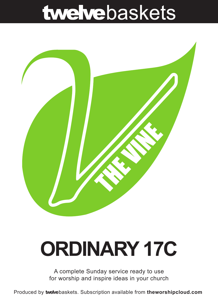## twelvebaskets



# **ORDINARY 17C**

A complete Sunday service ready to use for worship and inspire ideas in your church

Produced by **twelve**baskets. Subscription available from **theworshipcloud.com**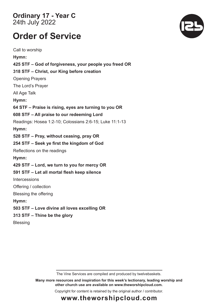**Ordinary 17 - Year C**  24th July 2022

### **Order of Service**

Call to worship **Hymn: 425 STF – God of forgiveness, your people you freed OR 318 STF – Christ, our King before creation** Opening Prayers The Lord's Prayer All Age Talk **Hymn: 64 STF – Praise is rising, eyes are turning to you OR 608 STF – All praise to our redeeming Lord** Readings: Hosea 1:2-10; Colossians 2:6-15; Luke 11:1-13 **Hymn: 528 STF – Pray, without ceasing, pray OR 254 STF – Seek ye first the kingdom of God**  Reflections on the readings **Hymn: 429 STF – Lord, we turn to you for mercy OR 591 STF – Let all mortal flesh keep silence Intercessions** Offering / collection Blessing the offering **Hymn: 503 STF – Love divine all loves excelling OR 313 STF – Thine be the glory** Blessing

The Vine Services are compiled and produced by twelvebaskets.

**Many more resources and inspiration for this week's lectionary, leading worship and other church use are available on www.theworshipcloud.com.**

Copyright for content is retained by the original author / contributor.



### **www.theworshipcloud.com**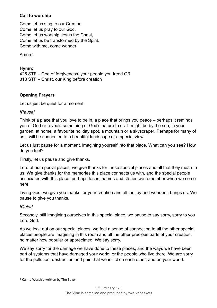#### **Call to worship**

Come let us sing to our Creator, Come let us pray to our God. Come let us worship Jesus the Christ. Come let us be transformed by the Spirit. Come with me, come wander

<span id="page-2-0"></span>Amen 1

#### Hymn:

425 STF - God of forgiveness, your people you freed OR 318 STF - Christ, our King before creation

#### **Opening Prayers**

Let us just be quiet for a moment.

#### [Pause]

Think of a place that you love to be in, a place that brings you peace – perhaps it reminds you of God or reveals something of God's nature to us. It might be by the sea, in your garden, at home, a favourite holiday spot, a mountain or a skyscraper. Perhaps for many of us it will be connected to a beautiful landscape or a special view.

Let us just pause for a moment, imagining yourself into that place. What can you see? How do vou feel?

Firstly, let us pause and give thanks.

Lord of our special places, we give thanks for these special places and all that they mean to us. We give thanks for the memories this place connects us with, and the special people associated with this place, perhaps faces, names and stories we remember when we come here.

Living God, we give you thanks for your creation and all the joy and wonder it brings us. We pause to give you thanks.

#### [Quiet]

Secondly, still imagining ourselves in this special place, we pause to say sorry, sorry to you Lord God.

As we look out on our special places, we feel a sense of connection to all the other special places people are imagining in this room and all the other precious parts of your creation. no matter how popular or appreciated. We say sorry.

We say sorry for the damage we have done to these places, and the ways we have been part of systems that have damaged your world, or the people who live there. We are sorry for the pollution, destruction and pain that we inflict on each other, and on your world.

 $1$  Call to Worship written by Tim Baker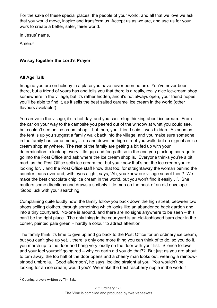For the sake of these special places, the people of your world, and all that we love we ask that you would move, inspire and transform us. Accept us as we are, and use us for your work to create a better, safer, fairer world.

In Jesus' name,

<span id="page-3-0"></span>Amen.<sup>2</sup>

#### We say together the Lord's Prayer

#### **All Age Talk**

Imagine you are on holiday in a place you have never been before. You've never been there, but a friend of yours has and tells you that there is a really, really nice ice-cream shop somewhere in the village, but it's rather hidden, and it's not always open, your friend hopes you'll be able to find it, as it sells the best salted caramel ice cream in the world (other flavours available!)

You arrive in the village, it's a hot day, and you can't stop thinking about ice cream. From the car on your way to the campsite you peered out of the window at what you could see. but couldn't see an ice cream shop – but then, your friend said it was hidden. As soon as the tent is up you suggest a family walk back into the village, and you make sure someone in the family has some money... up and down the high street you walk, but no sign of an ice cream shop anywhere. The rest of the family are getting a bit fed up with your determination to look up every little gap and footpath so in the end you pluck up courage to go into the Post Office and ask where the ice cream shop is. Everyone thinks you're a bit mad, as the Post Office sells ice cream too, but you know that's not the ice cream you're looking for... and the Post Office staff know that too, for straightaway the woman behind the counter leans over and, with eyes alight, says, 'Ah, you know our village secret then? We make the best chocolate chip ice cream in the world, but you won't find it easily...'. She mutters some directions and draws a scribbly little map on the back of an old envelope. 'Good luck with your searching!'

Complaining quite loudly now, the family follow you back down the high street, between two shops selling clothes, through something which looks like an abandoned back garden and into a tiny courtyard. No-one is around, and there are no signs anywhere to be seen – this can't be the right place. The only thing in the courtyard is an old-fashioned barn door in the corner, painted pale green - hardly a colour to attract attention.

The family think it's time to give up and go back to the Post Office for an ordinary ice cream. but you can't give up yet... there is only one more thing you can think of to do, so you do it, you march up to the door and bang very loudly on the door with your fist. Silence follows and your feel yourself going red – why on earth did you do that?? But just as you are about to turn away, the top half of the door opens and a cheery man looks out, wearing a rainbowstriped umbrella. 'Good afternoon', he says, looking straight at you, 'You wouldn't be looking for an ice cream, would you? We make the best raspberry ripple in the world'!

Opening prayers written by Tim Baker *[2](#page-3-0)*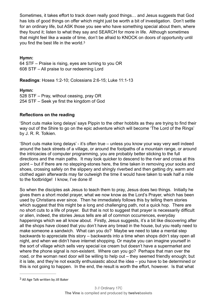Sometimes, it takes effort to track down really good things… and Jesus suggests that God has lots of good things on offer which might just be worth a bit of investigation. Don't settle for an ordinary life, but ASK those you see who have something special about them, where they found it; listen to what they say and SEARCH for more in life. Although sometimes that might feel like a waste of time, don't be afraid to KNOCK on doors of opportunity until you find the best life in the world.[3](#page-4-0)

#### <span id="page-4-1"></span>**Hymn:**

64 STF – Praise is rising, eyes are turning to you OR 608 STF – All praise to our redeeming Lord

**Readings**: Hosea 1:2-10; Colossians 2:6-15; Luke 11:1-13

#### **Hymn:**

528 STF – Pray, without ceasing, pray OR 254 STF – Seek ye first the kingdom of God

#### **Reflections on the reading**

'Short cuts make long delays' says Pippin to the other hobbits as they are trying to find their way out of the Shire to go on the epic adventure which will become 'The Lord of the Rings' by J. R. R. Tolkien.

'Short cuts make long delays' - it's often true – unless you know your way very well indeed around the back streets of a village, or around the footpaths of a mountain range, or around the intricacies of computer programming, you are probably better sticking to the full directions and the main paths. It may look quicker to descend to the river and cross at this point – but if there are no stepping-stones here, the time taken in removing your socks and shoes, crossing safely on the slippery and shingly riverbed and then getting dry, warm and clothed again afterwards may far outweigh the time it would have taken to walk half a mile to the footbridge! I know, I've done it!

So when the disciples ask Jesus to teach them to pray, Jesus does two things. Initially he gives them a short model prayer, what we now know as the Lord's Prayer, which has been used by Christians ever since. Then he immediately follows this by telling them stories which suggest that this might be a long and challenging path, not a quick hop. There are no short cuts to a life of prayer. But that is not to suggest that prayer is necessarily difficult or alien, indeed, the stories Jesus tells are all of common occurrences, everyday happenings which we all know about. Firstly, Jesus suggests, it's a bit like discovering after all the shops have closed that you don't have any bread in the house, but you really need to make someone a sandwich. What can you do? Maybe we need to take a mental step backwards to appreciate this story – backwards into a time when shops didn't stay open all night, and when we didn't have internet shopping. Or maybe you can imagine yourself in the sort of village which sells very special ice cream but doesn't have a supermarket and where the phone signal is non-existent. Where can you go? Perhaps that man over the road, or the woman next door will be willing to help out – they seemed friendly enough; but it is late, and they're not exactly enthusiastic about the idea – you have to be determined or this is not going to happen. In the end, the result is worth the effort, however. Is that what

<span id="page-4-0"></span> $3$  All Age Talk written by Jill Baker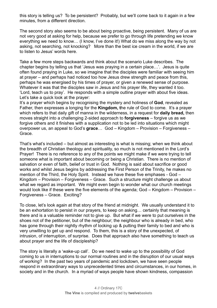this story is telling us? To be persistent? Probably, but we'll come back to it again in a few minutes, from a different direction.

The second story also seems to be about being proactive, being persistent. Many of us are not very good at asking for help, because we prefer to go through life pretending we know everything we need to know… (I know, I've done it!) What do we miss along the way by not asking, not searching, not knocking? More than the best ice cream in the world, if we are to listen to Jesus' words here.

Take a few more steps backwards and think about the scenario Luke describes. The chapter begins by telling us that 'Jesus was praying in a certain place…'. Jesus is quite often found praying in Luke, so we imagine that the disciples were familiar with seeing him at prayer – and perhaps had noticed too how Jesus drew strength and peace from this, perhaps he was energised by his times of prayer, or given a renewed sense of purpose. Whatever it was that the disciples saw in Jesus and his prayer life, they wanted it too. 'Lord, teach us to pray'. He responds with a simple outline prayer with about five ideas. Let's take a quick look at the prayer:

It's a prayer which begins by recognising the mystery and holiness of **God**, revealed as Father, then expresses a longing for the **Kingdom, t**he rule of God to come. It's a prayer which refers to that daily gift of manna in the wilderness, in a request for **daily bread,** then moves straight into a challenging 2-sided approach to **forgiveness** – forgive us as we forgive others and it finishes with a supplication not to be led into situations which might overpower us, an appeal to God's **grace**… God – Kingdom – Provision – Forgiveness – Grace.

That's what's included – but almost as interesting is what is missing; when we think about the breadth of Christian theology and spirituality, so much is not mentioned in the Lord's Prayer! There is no reference to any of the points we might make if we were trying to tell someone what is important about becoming or being a Christian. There is no mention of salvation or even of faith, belief or trust in God. Nothing is said about sacrifice or good works and whilst Jesus begins by addressing the First Person of the Trinity, he makes no mention of the Third, the Holy Spirit. Instead we have these five emphases - God – Kingdom – Provision – Forgiveness – Grace. Such a structure might challenge us about what we regard as important. We might even begin to wonder what our church meetings would look like if these were the five elements of the agenda; God – Kingdom – Provision – Forgiveness – Grace. Exciting?

To close, let's look again at that story of the friend at midnight. We usually understand it to be an exhortation to persist in our prayers, to keep on asking… certainly that meaning is there and is a valuable reminder not to give up. But what if we were to put ourselves in the shoes not of the petitioner, but of the neighbour; the neighbour who is already in bed, who has gone through their nightly rhythm of locking up & putting their family to bed and who is very unwilling to get up and respond. To them, this is a story of the unexpected, of intrusion, of interruption, of surprise. Does that approach also have something to teach us about prayer and the life of discipleship?

The story is literally a 'wake-up call'. Do we need to wake up to the possibility of God coming to us in interruptions to our normal routines and in the disruption of our usual ways of working? In the past two years of pandemic and lockdown, we have seen people respond in extraordinary ways to unprecedented times and circumstances, in our homes, in society and in the church. In a myriad of ways people have shown kindness, compassion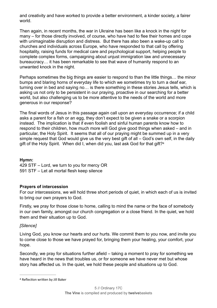and creativity and have worked to provide a better environment, a kinder society, a fairer world.

Then again, in recent months, the war in Ukraine has been like a knock in the night for many – for those directly involved, of course, who have had to flee their homes and cope with unimaginable disruption and distress. But there has also been a wake-up call to churches and individuals across Europe, who have responded to that call by offering hospitality, raising funds for medical care and psychological support, helping people to complete complex forms, campaigning about unjust immigration law and unnecessary bureaucracy… it has been remarkable to see that wave of humanity respond to an unwanted knock in the night.

Perhaps sometimes the big things are easier to respond to than the little things… the minor bumps and blaring horns of everyday life to which we sometimes try to turn a deaf ear, turning over in bed and saying no… is there something in these stories Jesus tells, which is asking us not only to be persistent in our praying, proactive in our searching for a better world, but also challenging us to be more attentive to the needs of the world and more generous in our response?

The final words of Jesus in this passage again call upon an everyday occurrence; if a child asks a parent for a fish or an egg, they don't expect to be given a snake or a scorpion instead. The implication is that if even foolish and sinful human parents know how to respond to their children, how much more will God give good things when asked – and in particular, the Holy Spirit. It seems that all of our praying might be summed up in a very simple request that God would give us the very best gift of all – God's own self, in the daily gift of the Holy Spirit. When did I, when did you, last ask God for that gift[?4](#page-6-0)

#### <span id="page-6-1"></span>**Hymn:**

429 STF – Lord, we turn to you for mercy OR 591 STF – Let all mortal flesh keep silence

#### **Prayers of intercession**

For our intercessions, we will hold three short periods of quiet, in which each of us is invited to bring our own prayers to God.

Firstly, we pray for those close to home, calling to mind the name or the face of somebody in our own family, amongst our church congregation or a close friend. In the quiet, we hold them and their situation up to God.

#### *[Silence]*

Living God, you know our hearts and our hurts. We commit them to you now, and invite you to come close to those we have prayed for, bringing them your healing, your comfort, your hope.

Secondly, we pray for situations further afield – taking a moment to pray for something we have heard in the news that troubles us, or for someone we have never met but whose story has affected us. In the quiet, we hold these people and situations up to God.

<span id="page-6-0"></span><sup>&</sup>lt;sup>[4](#page-6-1)</sup> Reflection written by Jill Baker